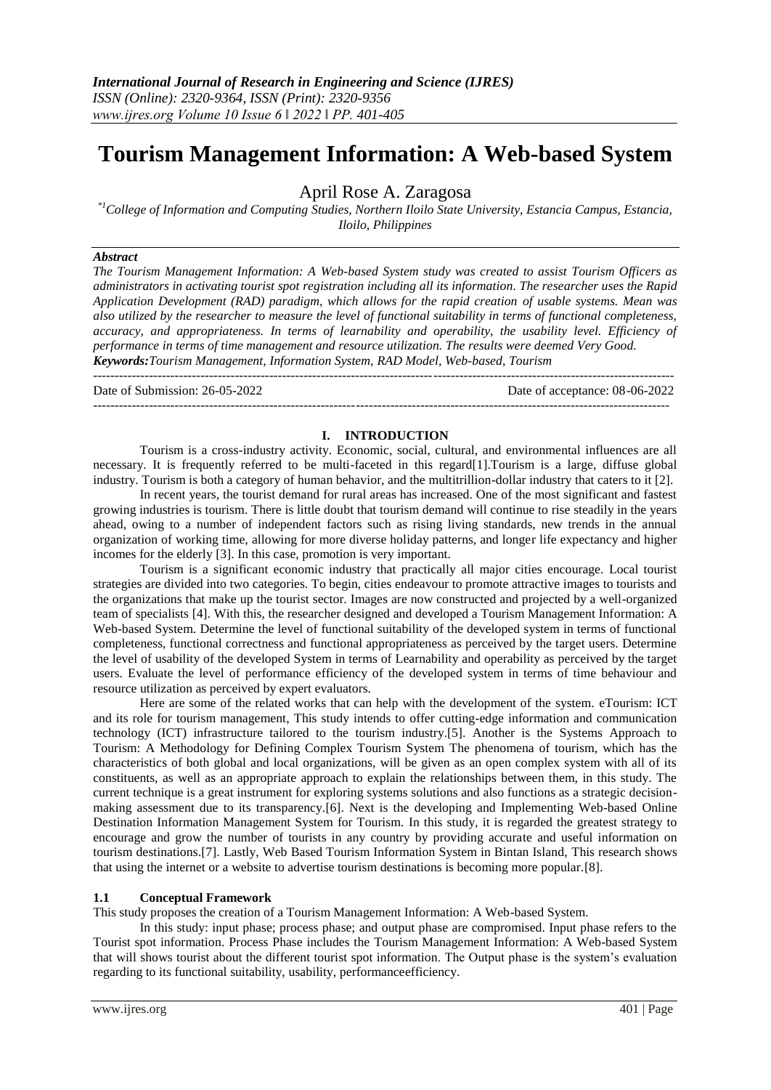# **Tourism Management Information: A Web-based System**

April Rose A. Zaragosa

*\*1College of Information and Computing Studies, Northern Iloilo State University, Estancia Campus, Estancia, Iloilo, Philippines*

#### *Abstract*

*The Tourism Management Information: A Web-based System study was created to assist Tourism Officers as administrators in activating tourist spot registration including all its information. The researcher uses the Rapid Application Development (RAD) paradigm, which allows for the rapid creation of usable systems. Mean was also utilized by the researcher to measure the level of functional suitability in terms of functional completeness, accuracy, and appropriateness. In terms of learnability and operability, the usability level. Efficiency of performance in terms of time management and resource utilization. The results were deemed Very Good. Keywords:Tourism Management, Information System, RAD Model, Web-based, Tourism*

---------------------------------------------------------------------------------------------------------------------------------------

Date of Submission: 26-05-2022 Date of acceptance: 08-06-2022 --------------------------------------------------------------------------------------------------------------------------------------

### **I. INTRODUCTION**

Tourism is a cross-industry activity. Economic, social, cultural, and environmental influences are all necessary. It is frequently referred to be multi-faceted in this regard[1].Tourism is a large, diffuse global industry. Tourism is both a category of human behavior, and the multitrillion-dollar industry that caters to it [2].

In recent years, the tourist demand for rural areas has increased. One of the most significant and fastest growing industries is tourism. There is little doubt that tourism demand will continue to rise steadily in the years ahead, owing to a number of independent factors such as rising living standards, new trends in the annual organization of working time, allowing for more diverse holiday patterns, and longer life expectancy and higher incomes for the elderly [3]. In this case, promotion is very important.

Tourism is a significant economic industry that practically all major cities encourage. Local tourist strategies are divided into two categories. To begin, cities endeavour to promote attractive images to tourists and the organizations that make up the tourist sector. Images are now constructed and projected by a well-organized team of specialists [4]. With this, the researcher designed and developed a Tourism Management Information: A Web-based System. Determine the level of functional suitability of the developed system in terms of functional completeness, functional correctness and functional appropriateness as perceived by the target users. Determine the level of usability of the developed System in terms of Learnability and operability as perceived by the target users. Evaluate the level of performance efficiency of the developed system in terms of time behaviour and resource utilization as perceived by expert evaluators.

Here are some of the related works that can help with the development of the system. eTourism: ICT and its role for tourism management, This study intends to offer cutting-edge information and communication technology (ICT) infrastructure tailored to the tourism industry.[5]. Another is the Systems Approach to Tourism: A Methodology for Defining Complex Tourism System The phenomena of tourism, which has the characteristics of both global and local organizations, will be given as an open complex system with all of its constituents, as well as an appropriate approach to explain the relationships between them, in this study. The current technique is a great instrument for exploring systems solutions and also functions as a strategic decisionmaking assessment due to its transparency.[6]. Next is the developing and Implementing Web-based Online Destination Information Management System for Tourism. In this study, it is regarded the greatest strategy to encourage and grow the number of tourists in any country by providing accurate and useful information on tourism destinations.[7]. Lastly, Web Based Tourism Information System in Bintan Island, This research shows that using the internet or a website to advertise tourism destinations is becoming more popular.[8].

### **1.1 Conceptual Framework**

This study proposes the creation of a Tourism Management Information: A Web-based System.

In this study: input phase; process phase; and output phase are compromised. Input phase refers to the Tourist spot information. Process Phase includes the Tourism Management Information: A Web-based System that will shows tourist about the different tourist spot information. The Output phase is the system's evaluation regarding to its functional suitability, usability, performanceefficiency.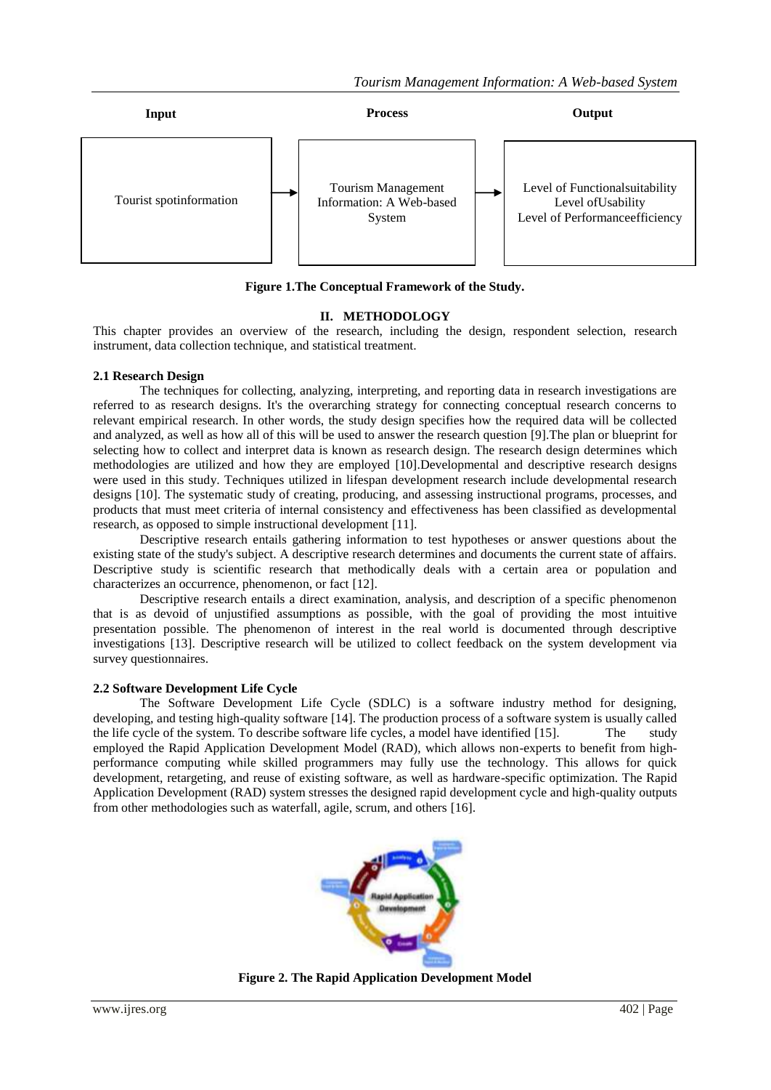

**Figure 1.The Conceptual Framework of the Study.**

# **II. METHODOLOGY**

This chapter provides an overview of the research, including the design, respondent selection, research instrument, data collection technique, and statistical treatment.

# **2.1 Research Design**

The techniques for collecting, analyzing, interpreting, and reporting data in research investigations are referred to as research designs. It's the overarching strategy for connecting conceptual research concerns to relevant empirical research. In other words, the study design specifies how the required data will be collected and analyzed, as well as how all of this will be used to answer the research question [9].The plan or blueprint for selecting how to collect and interpret data is known as research design. The research design determines which methodologies are utilized and how they are employed [10].Developmental and descriptive research designs were used in this study. Techniques utilized in lifespan development research include developmental research designs [10]. The systematic study of creating, producing, and assessing instructional programs, processes, and products that must meet criteria of internal consistency and effectiveness has been classified as developmental research, as opposed to simple instructional development [11].

Descriptive research entails gathering information to test hypotheses or answer questions about the existing state of the study's subject. A descriptive research determines and documents the current state of affairs. Descriptive study is scientific research that methodically deals with a certain area or population and characterizes an occurrence, phenomenon, or fact [12].

Descriptive research entails a direct examination, analysis, and description of a specific phenomenon that is as devoid of unjustified assumptions as possible, with the goal of providing the most intuitive presentation possible. The phenomenon of interest in the real world is documented through descriptive investigations [13]. Descriptive research will be utilized to collect feedback on the system development via survey questionnaires.

# **2.2 Software Development Life Cycle**

The Software Development Life Cycle (SDLC) is a software industry method for designing, developing, and testing high-quality software [14]. The production process of a software system is usually called the life cycle of the system. To describe software life cycles, a model have identified [15]. The study employed the Rapid Application Development Model (RAD), which allows non-experts to benefit from highperformance computing while skilled programmers may fully use the technology. This allows for quick development, retargeting, and reuse of existing software, as well as hardware-specific optimization. The Rapid Application Development (RAD) system stresses the designed rapid development cycle and high-quality outputs from other methodologies such as waterfall, agile, scrum, and others [16].



**Figure 2. The Rapid Application Development Model**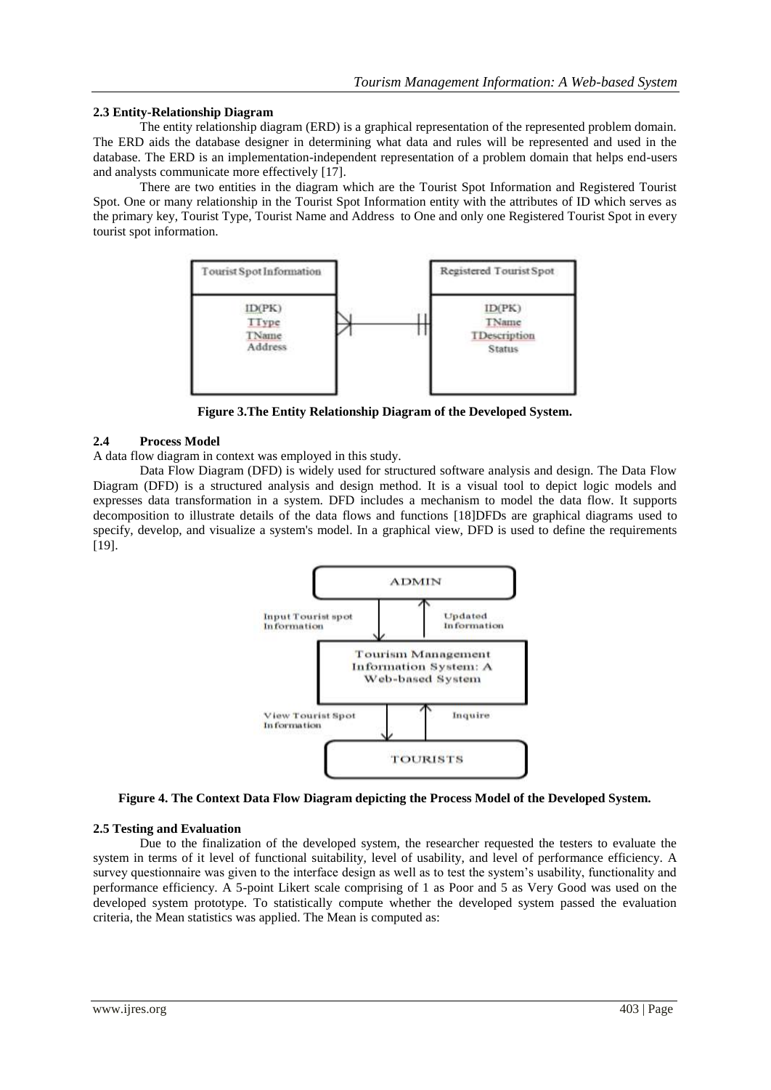### **2.3 Entity-Relationship Diagram**

The entity relationship diagram (ERD) is a graphical representation of the represented problem domain. The ERD aids the database designer in determining what data and rules will be represented and used in the database. The ERD is an implementation-independent representation of a problem domain that helps end-users and analysts communicate more effectively [17].

There are two entities in the diagram which are the Tourist Spot Information and Registered Tourist Spot. One or many relationship in the Tourist Spot Information entity with the attributes of ID which serves as the primary key, Tourist Type, Tourist Name and Address to One and only one Registered Tourist Spot in every tourist spot information.



**Figure 3.The Entity Relationship Diagram of the Developed System.**

# **2.4 Process Model**

A data flow diagram in context was employed in this study.

Data Flow Diagram (DFD) is widely used for structured software analysis and design. The Data Flow Diagram (DFD) is a structured analysis and design method. It is a visual tool to depict logic models and expresses data transformation in a system. DFD includes a mechanism to model the data flow. It supports decomposition to illustrate details of the data flows and functions [18]DFDs are graphical diagrams used to specify, develop, and visualize a system's model. In a graphical view, DFD is used to define the requirements [19].



**Figure 4. The Context Data Flow Diagram depicting the Process Model of the Developed System.**

# **2.5 Testing and Evaluation**

Due to the finalization of the developed system, the researcher requested the testers to evaluate the system in terms of it level of functional suitability, level of usability, and level of performance efficiency. A survey questionnaire was given to the interface design as well as to test the system's usability, functionality and performance efficiency. A 5-point Likert scale comprising of 1 as Poor and 5 as Very Good was used on the developed system prototype. To statistically compute whether the developed system passed the evaluation criteria, the Mean statistics was applied. The Mean is computed as: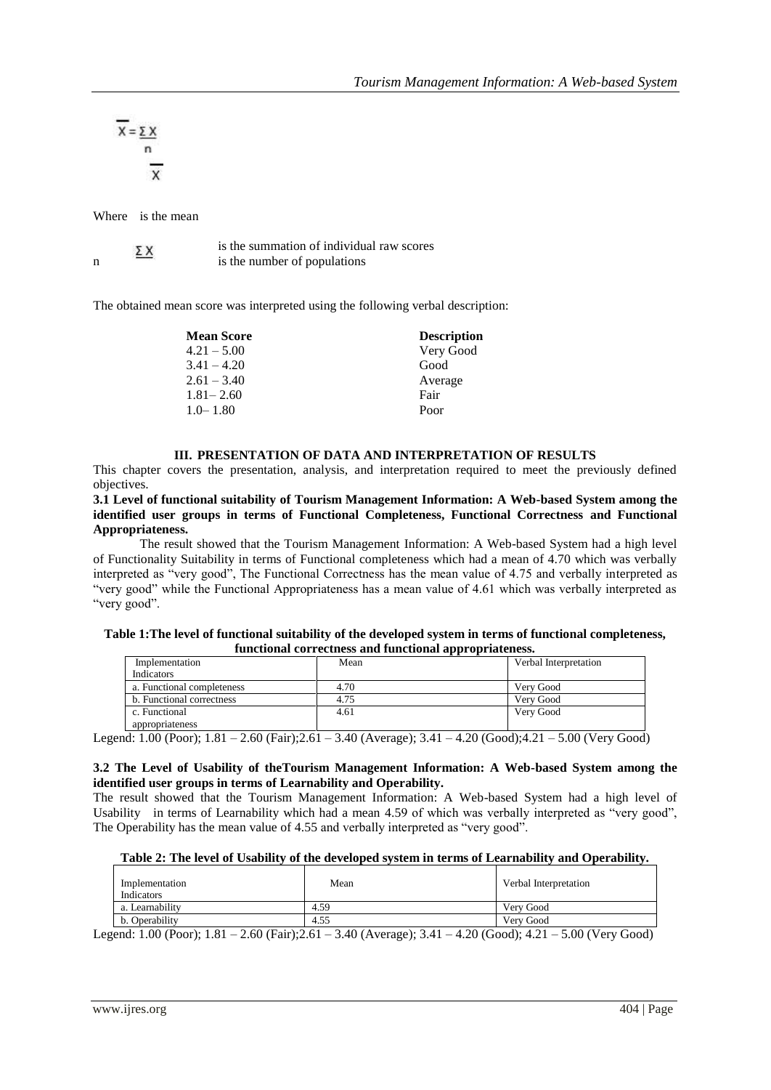$$
\overline{X} = \underbrace{\Sigma X}_{n}
$$

Where is the mean

|  | ΣΧ | is the summation of individual raw scores |
|--|----|-------------------------------------------|
|  |    | is the number of populations              |

The obtained mean score was interpreted using the following verbal description:

| <b>Mean Score</b> | <b>Description</b> |
|-------------------|--------------------|
| $4.21 - 5.00$     | Very Good          |
| $3.41 - 4.20$     | Good               |
| $2.61 - 3.40$     | Average            |
| $1.81 - 2.60$     | Fair               |
| $1.0 - 1.80$      | Poor               |

# **III. PRESENTATION OF DATA AND INTERPRETATION OF RESULTS**

This chapter covers the presentation, analysis, and interpretation required to meet the previously defined objectives.

**3.1 Level of functional suitability of Tourism Management Information: A Web-based System among the identified user groups in terms of Functional Completeness, Functional Correctness and Functional Appropriateness.**

The result showed that the Tourism Management Information: A Web-based System had a high level of Functionality Suitability in terms of Functional completeness which had a mean of 4.70 which was verbally interpreted as "very good", The Functional Correctness has the mean value of 4.75 and verbally interpreted as "very good" while the Functional Appropriateness has a mean value of 4.61 which was verbally interpreted as "very good".

#### **Table 1:The level of functional suitability of the developed system in terms of functional completeness, functional correctness and functional appropriateness.**

| Implementation             | Mean | Verbal Interpretation |  |  |  |
|----------------------------|------|-----------------------|--|--|--|
| Indicators                 |      |                       |  |  |  |
| a. Functional completeness | 4.70 | Very Good             |  |  |  |
| b. Functional correctness  | 4.75 | Very Good             |  |  |  |
| c. Functional              | 4.61 | Very Good             |  |  |  |
| appropriateness            |      |                       |  |  |  |

Legend: 1.00 (Poor); 1.81 – 2.60 (Fair);2.61 – 3.40 (Average); 3.41 – 4.20 (Good);4.21 – 5.00 (Very Good)

### **3.2 The Level of Usability of theTourism Management Information: A Web-based System among the identified user groups in terms of Learnability and Operability.**

The result showed that the Tourism Management Information: A Web-based System had a high level of Usability in terms of Learnability which had a mean 4.59 of which was verbally interpreted as "very good", The Operability has the mean value of 4.55 and verbally interpreted as "very good".

| Tubic 2. The letter of Cbublity of the actempta bybield in terms of Equitmonity and Operability. |                                       |                                                                                    |  |  |
|--------------------------------------------------------------------------------------------------|---------------------------------------|------------------------------------------------------------------------------------|--|--|
| Implementation<br>Indicators                                                                     | Mean                                  | Verbal Interpretation                                                              |  |  |
| a. Learnability                                                                                  | 4.59                                  | Very Good                                                                          |  |  |
| b. Operability                                                                                   | 4.55                                  | Very Good                                                                          |  |  |
| $\sim$ 4.04. $\sim$ 6.05. $\sim$ 6.44. $\sim$ 40.45.<br>$\sim$ $\sim$ $\sim$                     | $\sim$ $\sim$<br>$\sim$ $\sim$ $\sim$ | $\sim$ 0.0 $\sim$ $\sim$<br>$\sim$ $\sim$ $\sim$ $\sim$<br>$\sim$ $\sim$<br>$\sim$ |  |  |

Legend: 1.00 (Poor); 1.81 – 2.60 (Fair);2.61 – 3.40 (Average); 3.41 – 4.20 (Good); 4.21 – 5.00 (Very Good)